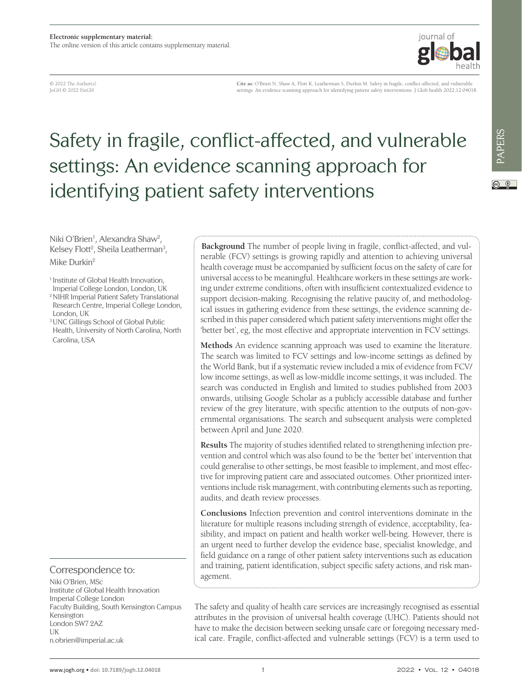

© 2022 The Author(s) JoGH © 2022 ISoGH

**Cite as:** O'Brien N, Shaw A, Flott K, Leatherman S, Durkin M. Safety in fragile, conflict-affected, and vulnerable settings: An evidence scanning approach for identifying patient safety interventions. J Glob health 2022;12:04018.

# Safety in fragile, conflict-affected, and vulnerable settings: An evidence scanning approach for identifying patient safety interventions

Niki O'Brien<sup>1</sup>, Alexandra Shaw<sup>2</sup>, Kelsey Flott<sup>2</sup>, Sheila Leatherman<sup>3</sup>, Mike Durkin2

<sup>1</sup> Institute of Global Health Innovation,

Imperial College London, London, UK

2 NIHR Imperial Patient Safety Translational Research Centre, Imperial College London, London, UK

3 UNC Gillings School of Global Public Health, University of North Carolina, North Carolina, USA

Correspondence to:

Niki O'Brien, MSc Institute of Global Health Innovation Imperial College London Faculty Building, South Kensington Campus Kensington London SW7 2AZ UK n.obrien@imperial.ac.uk

**Background** The number of people living in fragile, conflict-affected, and vulnerable (FCV) settings is growing rapidly and attention to achieving universal health coverage must be accompanied by sufficient focus on the safety of care for universal access to be meaningful. Healthcare workers in these settings are working under extreme conditions, often with insufficient contextualized evidence to support decision-making. Recognising the relative paucity of, and methodological issues in gathering evidence from these settings, the evidence scanning described in this paper considered which patient safety interventions might offer the 'better bet', eg, the most effective and appropriate intervention in FCV settings.

**Methods** An evidence scanning approach was used to examine the literature. The search was limited to FCV settings and low-income settings as defined by the World Bank, but if a systematic review included a mix of evidence from FCV/ low income settings, as well as low-middle income settings, it was included. The search was conducted in English and limited to studies published from 2003 onwards, utilising Google Scholar as a publicly accessible database and further review of the grey literature, with specific attention to the outputs of non-governmental organisations. The search and subsequent analysis were completed between April and June 2020.

**Results** The majority of studies identified related to strengthening infection prevention and control which was also found to be the 'better bet' intervention that could generalise to other settings, be most feasible to implement, and most effective for improving patient care and associated outcomes. Other prioritized interventions include risk management, with contributing elements such as reporting, audits, and death review processes.

**Conclusions** Infection prevention and control interventions dominate in the literature for multiple reasons including strength of evidence, acceptability, feasibility, and impact on patient and health worker well-being. However, there is an urgent need to further develop the evidence base, specialist knowledge, and field guidance on a range of other patient safety interventions such as education and training, patient identification, subject specific safety actions, and risk management.

The safety and quality of health care services are increasingly recognised as essential attributes in the provision of universal health coverage (UHC). Patients should not have to make the decision between seeking unsafe care or foregoing necessary medical care. Fragile, conflict-affected and vulnerable settings (FCV) is a term used to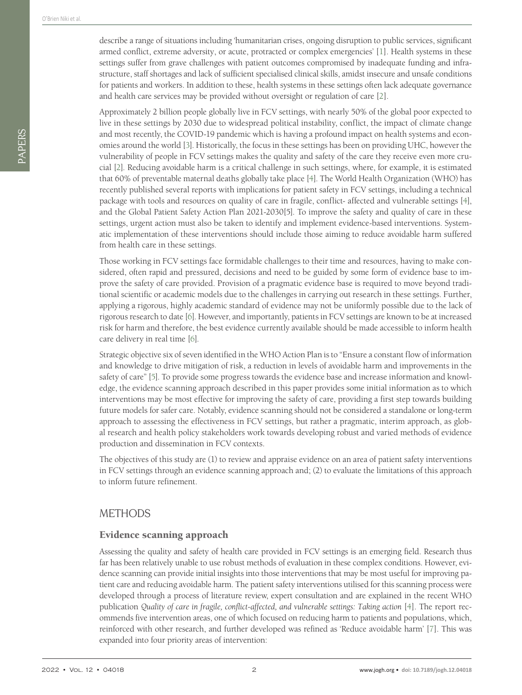describe a range of situations including 'humanitarian crises, ongoing disruption to public services, significant armed conflict, extreme adversity, or acute, protracted or complex emergencies' [[1\]](#page-7-0). Health systems in these settings suffer from grave challenges with patient outcomes compromised by inadequate funding and infrastructure, staff shortages and lack of sufficient specialised clinical skills, amidst insecure and unsafe conditions for patients and workers. In addition to these, health systems in these settings often lack adequate governance and health care services may be provided without oversight or regulation of care [[2\]](#page-7-1).

Approximately 2 billion people globally live in FCV settings, with nearly 50% of the global poor expected to live in these settings by 2030 due to widespread political instability, conflict, the impact of climate change and most recently, the COVID-19 pandemic which is having a profound impact on health systems and economies around the world [\[3](#page-7-2)]. Historically, the focus in these settings has been on providing UHC, however the vulnerability of people in FCV settings makes the quality and safety of the care they receive even more crucial [\[2](#page-7-1)]. Reducing avoidable harm is a critical challenge in such settings, where, for example, it is estimated that 60% of preventable maternal deaths globally take place [\[4\]](#page-7-3). The World Health Organization (WHO) has recently published several reports with implications for patient safety in FCV settings, including a technical package with tools and resources on quality of care in fragile, conflict- affected and vulnerable settings [\[4](#page-7-3)], and the Global Patient Safety Action Plan 2021-2030[5]. To improve the safety and quality of care in these settings, urgent action must also be taken to identify and implement evidence-based interventions. Systematic implementation of these interventions should include those aiming to reduce avoidable harm suffered from health care in these settings.

Those working in FCV settings face formidable challenges to their time and resources, having to make considered, often rapid and pressured, decisions and need to be guided by some form of evidence base to improve the safety of care provided. Provision of a pragmatic evidence base is required to move beyond traditional scientific or academic models due to the challenges in carrying out research in these settings. Further, applying a rigorous, highly academic standard of evidence may not be uniformly possible due to the lack of rigorous research to date [\[6\]](#page-7-4). However, and importantly, patients in FCV settings are known to be at increased risk for harm and therefore, the best evidence currently available should be made accessible to inform health care delivery in real time [\[6\]](#page-7-4).

Strategic objective six of seven identified in the WHO Action Plan is to "Ensure a constant flow of information and knowledge to drive mitigation of risk, a reduction in levels of avoidable harm and improvements in the safety of care" [\[5](#page-7-5)]. To provide some progress towards the evidence base and increase information and knowledge, the evidence scanning approach described in this paper provides some initial information as to which interventions may be most effective for improving the safety of care, providing a first step towards building future models for safer care. Notably, evidence scanning should not be considered a standalone or long-term approach to assessing the effectiveness in FCV settings, but rather a pragmatic, interim approach, as global research and health policy stakeholders work towards developing robust and varied methods of evidence production and dissemination in FCV contexts.

The objectives of this study are (1) to review and appraise evidence on an area of patient safety interventions in FCV settings through an evidence scanning approach and; (2) to evaluate the limitations of this approach to inform future refinement.

## **METHODS**

#### Evidence scanning approach

Assessing the quality and safety of health care provided in FCV settings is an emerging field. Research thus far has been relatively unable to use robust methods of evaluation in these complex conditions. However, evidence scanning can provide initial insights into those interventions that may be most useful for improving patient care and reducing avoidable harm. The patient safety interventions utilised for this scanning process were developed through a process of literature review, expert consultation and are explained in the recent WHO publication Quality of care in fragile, conflict-affected, and vulnerable settings: Taking action [[4\]](#page-7-3). The report recommends five intervention areas, one of which focused on reducing harm to patients and populations, which, reinforced with other research, and further developed was refined as 'Reduce avoidable harm' [\[7](#page-7-6)]. This was expanded into four priority areas of intervention: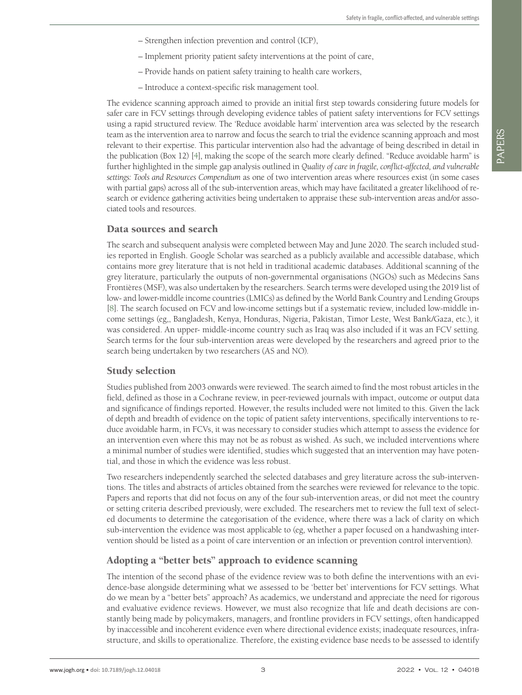- Strengthen infection prevention and control (ICP),
- Implement priority patient safety interventions at the point of care,
- Provide hands on patient safety training to health care workers,
- Introduce a context-specific risk management tool.

The evidence scanning approach aimed to provide an initial first step towards considering future models for safer care in FCV settings through developing evidence tables of patient safety interventions for FCV settings using a rapid structured review. The 'Reduce avoidable harm' intervention area was selected by the research team as the intervention area to narrow and focus the search to trial the evidence scanning approach and most relevant to their expertise. This particular intervention also had the advantage of being described in detail in the publication (Box 12) [\[4\]](#page-7-3), making the scope of the search more clearly defined. "Reduce avoidable harm" is further highlighted in the simple gap analysis outlined in *Quality of care in fragile, conflict-affected, and vulnerable settings: Tools and Resources Compendium* as one of two intervention areas where resources exist (in some cases with partial gaps) across all of the sub-intervention areas, which may have facilitated a greater likelihood of research or evidence gathering activities being undertaken to appraise these sub-intervention areas and/or associated tools and resources.

#### Data sources and search

The search and subsequent analysis were completed between May and June 2020. The search included studies reported in English. Google Scholar was searched as a publicly available and accessible database, which contains more grey literature that is not held in traditional academic databases. Additional scanning of the grey literature, particularly the outputs of non-governmental organisations (NGOs) such as Médecins Sans Frontières (MSF), was also undertaken by the researchers. Search terms were developed using the 2019 list of low- and lower-middle income countries (LMICs) as defined by the World Bank Country and Lending Groups [\[8\]](#page-8-0). The search focused on FCV and low-income settings but if a systematic review, included low-middle income settings (eg,, Bangladesh, Kenya, Honduras, Nigeria, Pakistan, Timor Leste, West Bank/Gaza, etc.), it was considered. An upper- middle-income country such as Iraq was also included if it was an FCV setting. Search terms for the four sub-intervention areas were developed by the researchers and agreed prior to the search being undertaken by two researchers (AS and NO).

#### Study selection

Studies published from 2003 onwards were reviewed. The search aimed to find the most robust articles in the field, defined as those in a Cochrane review, in peer-reviewed journals with impact, outcome or output data and significance of findings reported. However, the results included were not limited to this. Given the lack of depth and breadth of evidence on the topic of patient safety interventions, specifically interventions to reduce avoidable harm, in FCVs, it was necessary to consider studies which attempt to assess the evidence for an intervention even where this may not be as robust as wished. As such, we included interventions where a minimal number of studies were identified, studies which suggested that an intervention may have potential, and those in which the evidence was less robust.

Two researchers independently searched the selected databases and grey literature across the sub-interventions. The titles and abstracts of articles obtained from the searches were reviewed for relevance to the topic. Papers and reports that did not focus on any of the four sub-intervention areas, or did not meet the country or setting criteria described previously, were excluded. The researchers met to review the full text of selected documents to determine the categorisation of the evidence, where there was a lack of clarity on which sub-intervention the evidence was most applicable to (eg, whether a paper focused on a handwashing intervention should be listed as a point of care intervention or an infection or prevention control intervention).

#### Adopting a "better bets" approach to evidence scanning

The intention of the second phase of the evidence review was to both define the interventions with an evidence-base alongside determining what we assessed to be 'better bet' interventions for FCV settings. What do we mean by a "better bets" approach? As academics, we understand and appreciate the need for rigorous and evaluative evidence reviews. However, we must also recognize that life and death decisions are constantly being made by policymakers, managers, and frontline providers in FCV settings, often handicapped by inaccessible and incoherent evidence even where directional evidence exists; inadequate resources, infrastructure, and skills to operationalize. Therefore, the existing evidence base needs to be assessed to identify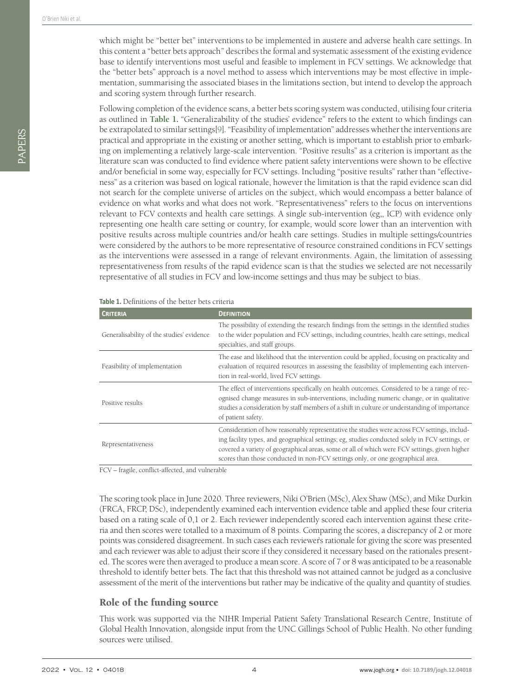PAPERS

which might be "better bet" interventions to be implemented in austere and adverse health care settings. In this content a "better bets approach" describes the formal and systematic assessment of the existing evidence base to identify interventions most useful and feasible to implement in FCV settings. We acknowledge that the "better bets" approach is a novel method to assess which interventions may be most effective in implementation, summarising the associated biases in the limitations section, but intend to develop the approach and scoring system through further research.

Following completion of the evidence scans, a better bets scoring system was conducted, utilising four criteria as outlined in **[Table](#page-3-0) 1.** "Generalizability of the studies' evidence" refers to the extent to which findings can be extrapolated to similar settings[\[9\]](#page-8-1). "Feasibility of implementation" addresses whether the interventions are practical and appropriate in the existing or another setting, which is important to establish prior to embarking on implementing a relatively large-scale intervention. "Positive results" as a criterion is important as the literature scan was conducted to find evidence where patient safety interventions were shown to be effective and/or beneficial in some way, especially for FCV settings. Including "positive results" rather than "effectiveness" as a criterion was based on logical rationale, however the limitation is that the rapid evidence scan did not search for the complete universe of articles on the subject, which would encompass a better balance of evidence on what works and what does not work. "Representativeness" refers to the focus on interventions relevant to FCV contexts and health care settings. A single sub-intervention (eg,, ICP) with evidence only representing one health care setting or country, for example, would score lower than an intervention with positive results across multiple countries and/or health care settings. Studies in multiple settings/countries were considered by the authors to be more representative of resource constrained conditions in FCV settings as the interventions were assessed in a range of relevant environments. Again, the limitation of assessing representativeness from results of the rapid evidence scan is that the studies we selected are not necessarily representative of all studies in FCV and low-income settings and thus may be subject to bias.

<span id="page-3-0"></span>

| Table 1. Definitions of the better bets criteria |  |  |  |  |
|--------------------------------------------------|--|--|--|--|
|--------------------------------------------------|--|--|--|--|

| <b>CRITERIA</b>                           | <b>DEFINITION</b>                                                                                                                                                                                                                                                                                                                                                                   |
|-------------------------------------------|-------------------------------------------------------------------------------------------------------------------------------------------------------------------------------------------------------------------------------------------------------------------------------------------------------------------------------------------------------------------------------------|
| Generalisability of the studies' evidence | The possibility of extending the research findings from the settings in the identified studies<br>to the wider population and FCV settings, including countries, health care settings, medical<br>specialties, and staff groups.                                                                                                                                                    |
| Feasibility of implementation             | The ease and likelihood that the intervention could be applied, focusing on practicality and<br>evaluation of required resources in assessing the feasibility of implementing each interven-<br>tion in real-world, lived FCV settings.                                                                                                                                             |
| Positive results                          | The effect of interventions specifically on health outcomes. Considered to be a range of rec-<br>ognised change measures in sub-interventions, including numeric change, or in qualitative<br>studies a consideration by staff members of a shift in culture or understanding of importance<br>of patient safety.                                                                   |
| Representativeness                        | Consideration of how reasonably representative the studies were across FCV settings, includ-<br>ing facility types, and geographical settings; eg, studies conducted solely in FCV settings, or<br>covered a variety of geographical areas, some or all of which were FCV settings, given higher<br>scores than those conducted in non-FCV settings only, or one geographical area. |

FCV – fragile, conflict-affected, and vulnerable

The scoring took place in June 2020. Three reviewers, Niki O'Brien (MSc), Alex Shaw (MSc), and Mike Durkin (FRCA, FRCP, DSc), independently examined each intervention evidence table and applied these four criteria based on a rating scale of 0,1 or 2. Each reviewer independently scored each intervention against these criteria and then scores were totalled to a maximum of 8 points. Comparing the scores, a discrepancy of 2 or more points was considered disagreement. In such cases each reviewer's rationale for giving the score was presented and each reviewer was able to adjust their score if they considered it necessary based on the rationales presented. The scores were then averaged to produce a mean score. A score of 7 or 8 was anticipated to be a reasonable threshold to identify better bets. The fact that this threshold was not attained cannot be judged as a conclusive assessment of the merit of the interventions but rather may be indicative of the quality and quantity of studies.

#### Role of the funding source

This work was supported via the NIHR Imperial Patient Safety Translational Research Centre, Institute of Global Health Innovation, alongside input from the UNC Gillings School of Public Health. No other funding sources were utilised.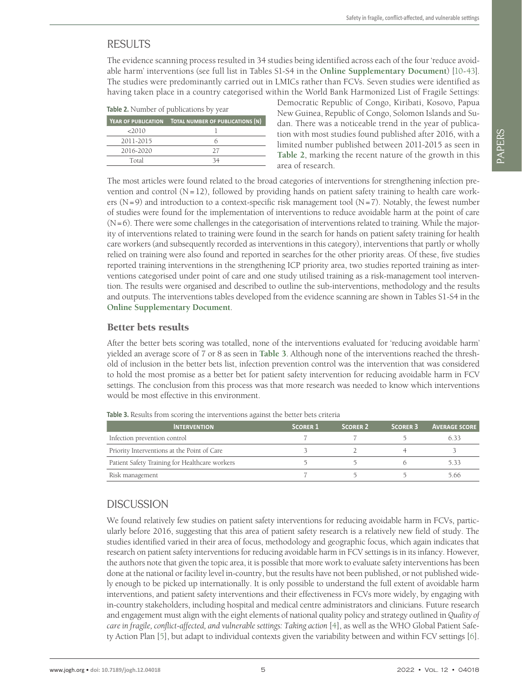# RESULTS

The evidence scanning process resulted in 34 studies being identified across each of the four 'reduce avoidable harm' interventions (see full list in Tables S1-S4 in the **Online [Supplementary](#page-7-7) Document**) [\[10-](#page-8-2)[43](#page-9-0)]. The studies were predominantly carried out in LMICs rather than FCVs. Seven studies were identified as having taken place in a country categorised within the World Bank Harmonized List of Fragile Settings:

<span id="page-4-0"></span>

|           | YEAR OF PUBLICATION TOTAL NUMBER OF PUBLICATIONS (N) |
|-----------|------------------------------------------------------|
| 2010      |                                                      |
| 2011-2015 |                                                      |
| 2016-2020 | 27                                                   |
| Total     | 34                                                   |

Democratic Republic of Congo, Kiribati, Kosovo, Papua New Guinea, Republic of Congo, Solomon Islands and Sudan. There was a noticeable trend in the year of publication with most studies found published after 2016, with a limited number published between 2011-2015 as seen in **[Table](#page-4-0) 2**, marking the recent nature of the growth in this area of research.

The most articles were found related to the broad categories of interventions for strengthening infection prevention and control  $(N=12)$ , followed by providing hands on patient safety training to health care workers (N=9) and introduction to a context-specific risk management tool (N=7). Notably, the fewest number of studies were found for the implementation of interventions to reduce avoidable harm at the point of care (N=6). There were some challenges in the categorisation of interventions related to training. While the majority of interventions related to training were found in the search for hands on patient safety training for health care workers (and subsequently recorded as interventions in this category), interventions that partly or wholly relied on training were also found and reported in searches for the other priority areas. Of these, five studies reported training interventions in the strengthening ICP priority area, two studies reported training as interventions categorised under point of care and one study utilised training as a risk-management tool intervention. The results were organised and described to outline the sub-interventions, methodology and the results and outputs. The interventions tables developed from the evidence scanning are shown in Tables S1-S4 in the **Online [Supplementary](#page-7-7) Document**.

## Better bets results

After the better bets scoring was totalled, none of the interventions evaluated for 'reducing avoidable harm' yielded an average score of 7 or 8 as seen in **[Table](#page-4-1) 3**. Although none of the interventions reached the threshold of inclusion in the better bets list, infection prevention control was the intervention that was considered to hold the most promise as a better bet for patient safety intervention for reducing avoidable harm in FCV settings. The conclusion from this process was that more research was needed to know which interventions would be most effective in this environment.

| <b>INTERVENTION</b>                            | <b>SCORER 1</b> | <b>SCORER 2</b> | <b>SCORER 3</b> | <b>AVERAGE SCORE</b> |
|------------------------------------------------|-----------------|-----------------|-----------------|----------------------|
| Infection prevention control                   |                 |                 |                 | 6.33                 |
| Priority Interventions at the Point of Care    |                 |                 |                 |                      |
| Patient Safety Training for Healthcare workers |                 |                 |                 | 5.33                 |
| Risk management                                |                 |                 |                 | 5.66                 |

<span id="page-4-1"></span>**Table 3.** Results from scoring the interventions against the better bets criteria

## **DISCUSSION**

We found relatively few studies on patient safety interventions for reducing avoidable harm in FCVs, particularly before 2016, suggesting that this area of patient safety research is a relatively new field of study. The studies identified varied in their area of focus, methodology and geographic focus, which again indicates that research on patient safety interventions for reducing avoidable harm in FCV settings is in its infancy. However, the authors note that given the topic area, it is possible that more work to evaluate safety interventions has been done at the national or facility level in-country, but the results have not been published, or not published widely enough to be picked up internationally. It is only possible to understand the full extent of avoidable harm interventions, and patient safety interventions and their effectiveness in FCVs more widely, by engaging with in-country stakeholders, including hospital and medical centre administrators and clinicians. Future research and engagement must align with the eight elements of national quality policy and strategy outlined in *Quality of care in fragile, conflict-affected, and vulnerable settings: Taking action* [\[4](#page-7-3)], as well as the WHO Global Patient Safety Action Plan [\[5](#page-7-5)], but adapt to individual contexts given the variability between and within FCV settings [\[6](#page-7-4)].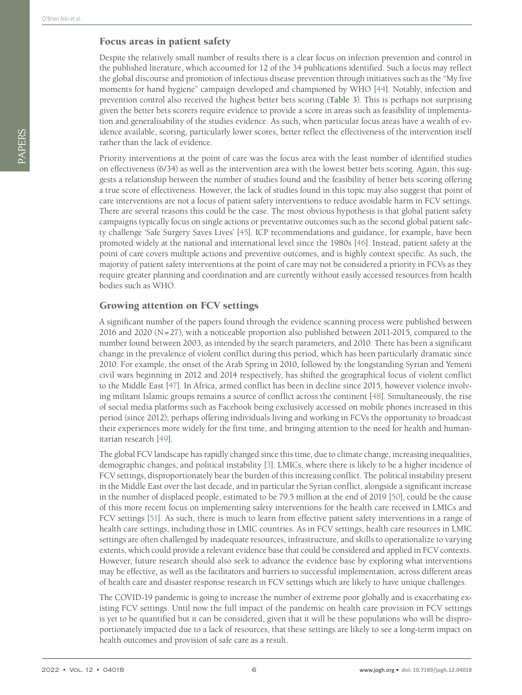#### Focus areas in patient safety

Despite the relatively small number of results there is a clear focus on infection prevention and control in the published literature, which accounted for 12 of the 34 publications identified. Such a focus may reflect the global discourse and promotion of infectious disease prevention through initiatives such as the "My five moments for hand hygiene" campaign developed and championed by WHO [[44\]](#page-9-1). Notably, infection and prevention control also received the highest better bets scoring (**[Table](#page-4-1) 3**). This is perhaps not surprising given the better bets scorers require evidence to provide a score in areas such as feasibility of implementation and generalisability of the studies evidence. As such, when particular focus areas have a wealth of evidence available, scoring, particularly lower scores, better reflect the effectiveness of the intervention itself rather than the lack of evidence.

Priority interventions at the point of care was the focus area with the least number of identified studies on effectiveness (6/34) as well as the intervention area with the lowest better bets scoring. Again, this suggests a relationship between the number of studies found and the feasibility of better bets scoring offering a true score of effectiveness. However, the lack of studies found in this topic may also suggest that point of care interventions are not a focus of patient safety interventions to reduce avoidable harm in FCV settings. There are several reasons this could be the case. The most obvious hypothesis is that global patient safety campaigns typically focus on single actions or preventative outcomes such as the second global patient safety challenge 'Safe Surgery Saves Lives' [\[45](#page-9-2)]. ICP recommendations and guidance, for example, have been promoted widely at the national and international level since the 1980s [\[46](#page-9-3)]. Instead, patient safety at the point of care covers multiple actions and preventive outcomes, and is highly context specific. As such, the majority of patient safety interventions at the point of care may not be considered a priority in FCVs as they require greater planning and coordination and are currently without easily accessed resources from health bodies such as WHO.

## Growing attention on FCV settings

A significant number of the papers found through the evidence scanning process were published between 2016 and 2020 (N=27), with a noticeable proportion also published between 2011-2015, compared to the number found between 2003, as intended by the search parameters, and 2010. There has been a significant change in the prevalence of violent conflict during this period, which has been particularly dramatic since 2010. For example, the onset of the Arab Spring in 2010, followed by the longstanding Syrian and Yemeni civil wars beginning in 2012 and 2014 respectively, has shifted the geographical focus of violent conflict to the Middle East [\[47\]](#page-9-4). In Africa, armed conflict has been in decline since 2015, however violence involving militant Islamic groups remains a source of conflict across the continent [[48\]](#page-9-5). Simultaneously, the rise of social media platforms such as Facebook being exclusively accessed on mobile phones increased in this period (since 2012); perhaps offering individuals living and working in FCVs the opportunity to broadcast their experiences more widely for the first time, and bringing attention to the need for health and humanitarian research [[49\]](#page-9-6).

The global FCV landscape has rapidly changed since this time, due to climate change, increasing inequalities, demographic changes, and political instability [\[3\]](#page-7-2). LMICs, where there is likely to be a higher incidence of FCV settings, disproportionately bear the burden of this increasing conflict. The political instability present in the Middle East over the last decade, and in particular the Syrian conflict, alongside a significant increase in the number of displaced people, estimated to be 79.5 million at the end of 2019 [[50\]](#page-9-7), could be the cause of this more recent focus on implementing safety interventions for the health care received in LMICs and FCV settings [\[51](#page-9-8)]. As such, there is much to learn from effective patient safety interventions in a range of health care settings, including those in LMIC countries. As in FCV settings, health care resources in LMIC settings are often challenged by inadequate resources, infrastructure, and skills to operationalize to varying extents, which could provide a relevant evidence base that could be considered and applied in FCV contexts. However, future research should also seek to advance the evidence base by exploring what interventions may be effective, as well as the facilitators and barriers to successful implementation, across different areas of health care and disaster response research in FCV settings which are likely to have unique challenges.

The COVID-19 pandemic is going to increase the number of extreme poor globally and is exacerbating existing FCV settings. Until now the full impact of the pandemic on health care provision in FCV settings is yet to be quantified but it can be considered, given that it will be these populations who will be disproportionately impacted due to a lack of resources, that these settings are likely to see a long-term impact on health outcomes and provision of safe care as a result.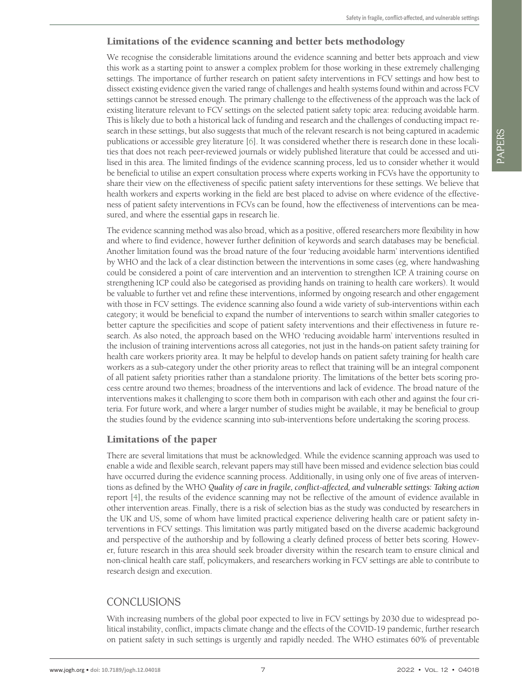## Limitations of the evidence scanning and better bets methodology

We recognise the considerable limitations around the evidence scanning and better bets approach and view this work as a starting point to answer a complex problem for those working in these extremely challenging settings. The importance of further research on patient safety interventions in FCV settings and how best to dissect existing evidence given the varied range of challenges and health systems found within and across FCV settings cannot be stressed enough. The primary challenge to the effectiveness of the approach was the lack of existing literature relevant to FCV settings on the selected patient safety topic area: reducing avoidable harm. This is likely due to both a historical lack of funding and research and the challenges of conducting impact research in these settings, but also suggests that much of the relevant research is not being captured in academic publications or accessible grey literature [[6\]](#page-7-4). It was considered whether there is research done in these localities that does not reach peer-reviewed journals or widely published literature that could be accessed and utilised in this area. The limited findings of the evidence scanning process, led us to consider whether it would be beneficial to utilise an expert consultation process where experts working in FCVs have the opportunity to share their view on the effectiveness of specific patient safety interventions for these settings. We believe that health workers and experts working in the field are best placed to advise on where evidence of the effectiveness of patient safety interventions in FCVs can be found, how the effectiveness of interventions can be measured, and where the essential gaps in research lie.

The evidence scanning method was also broad, which as a positive, offered researchers more flexibility in how and where to find evidence, however further definition of keywords and search databases may be beneficial. Another limitation found was the broad nature of the four 'reducing avoidable harm' interventions identified by WHO and the lack of a clear distinction between the interventions in some cases (eg, where handwashing could be considered a point of care intervention and an intervention to strengthen ICP. A training course on strengthening ICP could also be categorised as providing hands on training to health care workers). It would be valuable to further vet and refine these interventions, informed by ongoing research and other engagement with those in FCV settings. The evidence scanning also found a wide variety of sub-interventions within each category; it would be beneficial to expand the number of interventions to search within smaller categories to better capture the specificities and scope of patient safety interventions and their effectiveness in future research. As also noted, the approach based on the WHO 'reducing avoidable harm' interventions resulted in the inclusion of training interventions across all categories, not just in the hands-on patient safety training for health care workers priority area. It may be helpful to develop hands on patient safety training for health care workers as a sub-category under the other priority areas to reflect that training will be an integral component of all patient safety priorities rather than a standalone priority. The limitations of the better bets scoring process centre around two themes; broadness of the interventions and lack of evidence. The broad nature of the interventions makes it challenging to score them both in comparison with each other and against the four criteria. For future work, and where a larger number of studies might be available, it may be beneficial to group the studies found by the evidence scanning into sub-interventions before undertaking the scoring process.

## Limitations of the paper

There are several limitations that must be acknowledged. While the evidence scanning approach was used to enable a wide and flexible search, relevant papers may still have been missed and evidence selection bias could have occurred during the evidence scanning process. Additionally, in using only one of five areas of interventions as defined by the WHO *Quality of care in fragile, conflict-affected, and vulnerable settings: Taking action* report [\[4](#page-7-3)], the results of the evidence scanning may not be reflective of the amount of evidence available in other intervention areas. Finally, there is a risk of selection bias as the study was conducted by researchers in the UK and US, some of whom have limited practical experience delivering health care or patient safety interventions in FCV settings. This limitation was partly mitigated based on the diverse academic background and perspective of the authorship and by following a clearly defined process of better bets scoring. However, future research in this area should seek broader diversity within the research team to ensure clinical and non-clinical health care staff, policymakers, and researchers working in FCV settings are able to contribute to research design and execution.

## CONCLUSIONS

With increasing numbers of the global poor expected to live in FCV settings by 2030 due to widespread political instability, conflict, impacts climate change and the effects of the COVID-19 pandemic, further research on patient safety in such settings is urgently and rapidly needed. The WHO estimates 60% of preventable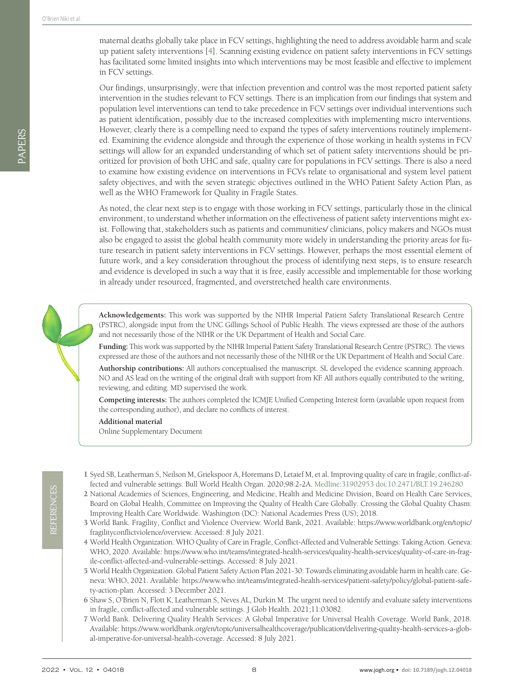PAPERS

maternal deaths globally take place in FCV settings, highlighting the need to address avoidable harm and scale up patient safety interventions [\[4\]](#page-7-3). Scanning existing evidence on patient safety interventions in FCV settings has facilitated some limited insights into which interventions may be most feasible and effective to implement in FCV settings.

Our findings, unsurprisingly, were that infection prevention and control was the most reported patient safety intervention in the studies relevant to FCV settings. There is an implication from our findings that system and population level interventions can tend to take precedence in FCV settings over individual interventions such as patient identification, possibly due to the increased complexities with implementing micro interventions. However, clearly there is a compelling need to expand the types of safety interventions routinely implemented. Examining the evidence alongside and through the experience of those working in health systems in FCV settings will allow for an expanded understanding of which set of patient safety interventions should be prioritized for provision of both UHC and safe, quality care for populations in FCV settings. There is also a need to examine how existing evidence on interventions in FCVs relate to organisational and system level patient safety objectives, and with the seven strategic objectives outlined in the WHO Patient Safety Action Plan, as well as the WHO Framework for Quality in Fragile States.

As noted, the clear next step is to engage with those working in FCV settings, particularly those in the clinical environment, to understand whether information on the effectiveness of patient safety interventions might exist. Following that, stakeholders such as patients and communities/ clinicians, policy makers and NGOs must also be engaged to assist the global health community more widely in understanding the priority areas for future research in patient safety interventions in FCV settings. However, perhaps the most essential element of future work, and a key consideration throughout the process of identifying next steps, is to ensure research and evidence is developed in such a way that it is free, easily accessible and implementable for those working in already under resourced, fragmented, and overstretched health care environments.

**Acknowledgements:** This work was supported by the NIHR Imperial Patient Safety Translational Research Centre (PSTRC), alongside input from the UNC Gillings School of Public Health. The views expressed are those of the authors and not necessarily those of the NIHR or the UK Department of Health and Social Care.

**Funding:** This work was supported by the NIHR Imperial Patient Safety Translational Research Centre (PSTRC). The views expressed are those of the authors and not necessarily those of the NIHR or the UK Department of Health and Social Care.

**Authorship contributions:** All authors conceptualised the manuscript. SL developed the evidence scanning approach. NO and AS lead on the writing of the original draft with support from KF. All authors equally contributed to the writing, reviewing, and editing. MD supervised the work.

**Competing interests:** The authors completed the ICMJE Unified Competing Interest form (available upon request from the corresponding author), and declare no conflicts of interest.

**Additional material**

<span id="page-7-7"></span>[Online Supplementary Document](https://jogh.org/documents/2022/jogh-12-04018-s001.pdf)

- <span id="page-7-0"></span>1 Syed SB, Leatherman S, Neilson M, Griekspoor A, Horemans D, Letaief M, et al. Improving quality of care in fragile, conflict-affected and vulnerable settings. Bull World Health Organ. 2020;98:2-2A. [Medline:31902953](https://www.ncbi.nlm.nih.gov/entrez/query.fcgi?cmd=Retrieve&db=PubMed&list_uids=31902953&dopt=Abstract) [doi:10.2471/BLT.19.246280](https://doi.org/10.2471/BLT.19.246280)
- <span id="page-7-1"></span>2 National Academies of Sciences, Engineering, and Medicine, Health and Medicine Division, Board on Health Care Services, Board on Global Health, Committee on Improving the Quality of Health Care Globally. Crossing the Global Quality Chasm: Improving Health Care Worldwide. Washington (DC): National Academies Press (US); 2018.
- <span id="page-7-2"></span>3 World Bank. Fragility, Conflict and Violence Overview. World Bank, 2021. Available: [https://www.worldbank.org/en/topic/](https://www.worldbank.org/en/topic/fragilityconflictviolence/overview) [fragilityconflictviolence/overview.](https://www.worldbank.org/en/topic/fragilityconflictviolence/overview) Accessed: 8 July 2021.
- <span id="page-7-3"></span>4 World Health Organization. WHO Quality of Care in Fragile, Conflict-Affected and Vulnerable Settings: Taking Action. Geneva: WHO, 2020. Available: [https://www.who.int/teams/integrated-health-services/quality-health-services/quality-of-care-in-frag](https://www.who.int/teams/integrated-health-services/quality-health-services/quality-of-care-in-fragile-conflict-affected-and-vulnerable-settings)[ile-conflict-affected-and-vulnerable-settings](https://www.who.int/teams/integrated-health-services/quality-health-services/quality-of-care-in-fragile-conflict-affected-and-vulnerable-settings). Accessed: 8 July 2021.
- <span id="page-7-5"></span>5 World Health Organization. Global Patient Safety Action Plan 2021-30: Towards eliminating avoidable harm in health care. Geneva: WHO, 2021. Available: [https://www.who.int/teams/integrated-health-services/patient-safety/policy/global-patient-safe](https://www.who.int/teams/integrated-health-services/patient-safety/policy/global-patient-safety-action-plan)[ty-action-plan](https://www.who.int/teams/integrated-health-services/patient-safety/policy/global-patient-safety-action-plan). Accessed: 3 December 2021.
- <span id="page-7-4"></span>6 Shaw S, O'Brien N, Flott K, Leatherman S, Neves AL, Durkin M. The urgent need to identify and evaluate safety interventions in fragile, conflict-affected and vulnerable settings. J Glob Health. 2021;11:03082.
- <span id="page-7-6"></span>7 World Bank. Delivering Quality Health Services: A Global Imperative for Universal Health Coverage. World Bank, 2018. Available: [https://www.worldbank.org/en/topic/universalhealthcoverage/publication/delivering-quality-health-services-a-glob](https://www.worldbank.org/en/topic/universalhealthcoverage/publication/delivering-quality-health-services-a-global-imperative-for-universal-health-coverage)[al-imperative-for-universal-health-coverage](https://www.worldbank.org/en/topic/universalhealthcoverage/publication/delivering-quality-health-services-a-global-imperative-for-universal-health-coverage). Accessed: 8 July 2021.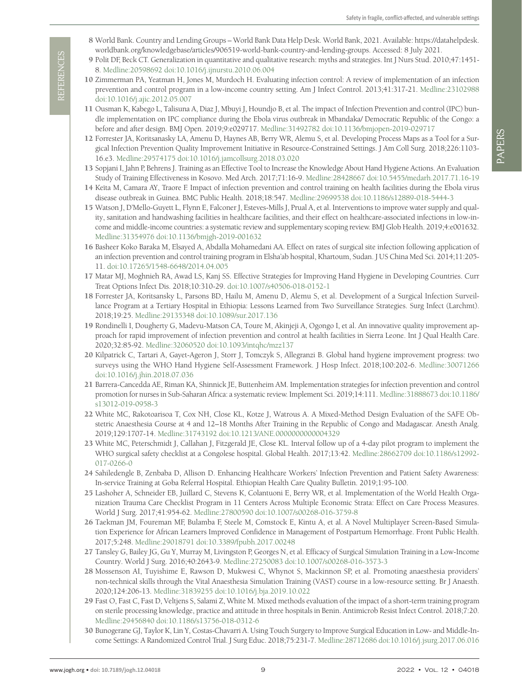- <span id="page-8-0"></span>8 World Bank. Country and Lending Groups – World Bank Data Help Desk. World Bank, 2021. Available: [https://datahelpdesk.](https://datahelpdesk.worldbank.org/knowledgebase/articles/906519-world-bank-country-and-lending-groups) [worldbank.org/knowledgebase/articles/906519-world-bank-country-and-lending-groups](https://datahelpdesk.worldbank.org/knowledgebase/articles/906519-world-bank-country-and-lending-groups). Accessed: 8 July 2021.
- <span id="page-8-1"></span>9 Polit DF, Beck CT. Generalization in quantitative and qualitative research: myths and strategies. Int J Nurs Stud. 2010;47:1451- 8. [Medline:20598692](https://www.ncbi.nlm.nih.gov/entrez/query.fcgi?cmd=Retrieve&db=PubMed&list_uids=20598692&dopt=Abstract) [doi:10.1016/j.ijnurstu.2010.06.004](https://doi.org/10.1016/j.ijnurstu.2010.06.004)
- <span id="page-8-2"></span>10 Zimmerman PA, Yeatman H, Jones M, Murdoch H. Evaluating infection control: A review of implementation of an infection prevention and control program in a low-income country setting. Am J Infect Control. 2013;41:317-21. [Medline:23102988](https://www.ncbi.nlm.nih.gov/entrez/query.fcgi?cmd=Retrieve&db=PubMed&list_uids=23102988&dopt=Abstract) [doi:10.1016/j.ajic.2012.05.007](https://doi.org/10.1016/j.ajic.2012.05.007)
- 11 Ousman K, Kabego L, Talisuna A, Diaz J, Mbuyi J, Houndjo B, et al. The impact of Infection Prevention and control (IPC) bundle implementation on IPC compliance during the Ebola virus outbreak in Mbandaka/ Democratic Republic of the Congo: a before and after design. BMJ Open. 2019;9:e029717. [Medline:31492782](https://www.ncbi.nlm.nih.gov/entrez/query.fcgi?cmd=Retrieve&db=PubMed&list_uids=31492782&dopt=Abstract) [doi:10.1136/bmjopen-2019-029717](https://doi.org/10.1136/bmjopen-2019-029717)
- 12 Forrester JA, Koritsanasky LA, Amenu D, Haynes AB, Berry WR, Alemu S, et al. Developing Process Maps as a Tool for a Surgical Infection Prevention Quality Improvement Initiative in Resource-Constrained Settings. J Am Coll Surg. 2018;226:1103- 16.e3. [Medline:29574175](https://www.ncbi.nlm.nih.gov/entrez/query.fcgi?cmd=Retrieve&db=PubMed&list_uids=29574175&dopt=Abstract) [doi:10.1016/j.jamcollsurg.2018.03.020](https://doi.org/10.1016/j.jamcollsurg.2018.03.020)
- 13 Sopjani I, Jahn P, Behrens J. Training as an Effective Tool to Increase the Knowledge About Hand Hygiene Actions. An Evaluation Study of Training Effectiveness in Kosovo. Med Arch. 2017;71:16-9. [Medline:28428667](https://www.ncbi.nlm.nih.gov/entrez/query.fcgi?cmd=Retrieve&db=PubMed&list_uids=28428667&dopt=Abstract) [doi:10.5455/medarh.2017.71.16-19](https://doi.org/10.5455/medarh.2017.71.16-19)
- 14 Keïta M, Camara AY, Traore F. Impact of infection prevention and control training on health facilities during the Ebola virus disease outbreak in Guinea. BMC Public Health. 2018;18:547. [Medline:29699538](https://www.ncbi.nlm.nih.gov/entrez/query.fcgi?cmd=Retrieve&db=PubMed&list_uids=29699538&dopt=Abstract) [doi:10.1186/s12889-018-5444-3](https://doi.org/10.1186/s12889-018-5444-3)
- www.forgaliterialson.org / European Schwarz en European Schwarz en Entwicklung in 1982 × 10.7189/jogh.12.0414 × 10.7189/jogh.12.0414 × 10.7189/jogh.12.0414 × 10.7189/jogh.12.0414 × 10.8414 × 10.8414 × 10.8414 × 10.8414 × 15 Watson J, D'Mello-Guyett L, Flynn E, Falconer J, Esteves-Mills J, Prual A, et al. Interventions to improve water supply and quality, sanitation and handwashing facilities in healthcare facilities, and their effect on healthcare-associated infections in low-income and middle-income countries: a systematic review and supplementary scoping review. BMJ Glob Health. 2019;4:e001632. [Medline:31354976](https://www.ncbi.nlm.nih.gov/entrez/query.fcgi?cmd=Retrieve&db=PubMed&list_uids=31354976&dopt=Abstract) [doi:10.1136/bmjgh-2019-001632](https://doi.org/10.1136/bmjgh-2019-001632)
	- 16 Basheer Koko Baraka M, Elsayed A, Abdalla Mohamedani AA. Effect on rates of surgical site infection following application of an infection prevention and control training program in Elsha'ab hospital, Khartoum, Sudan. J US China Med Sci. 2014;11:205- 11. [doi:10.17265/1548-6648/2014.04.005](https://doi.org/10.17265/1548-6648/2014.04.005)
	- 17 Matar MJ, Moghnieh RA, Awad LS, Kanj SS. Effective Strategies for Improving Hand Hygiene in Developing Countries. Curr Treat Options Infect Dis. 2018;10:310-29. [doi:10.1007/s40506-018-0152-1](https://doi.org/10.1007/s40506-018-0152-1)
	- 18 Forrester JA, Koritsansky L, Parsons BD, Hailu M, Amenu D, Alemu S, et al. Development of a Surgical Infection Surveillance Program at a Tertiary Hospital in Ethiopia: Lessons Learned from Two Surveillance Strategies. Surg Infect (Larchmt). 2018;19:25. [Medline:29135348](https://www.ncbi.nlm.nih.gov/entrez/query.fcgi?cmd=Retrieve&db=PubMed&list_uids=29135348&dopt=Abstract) [doi:10.1089/sur.2017.136](https://doi.org/10.1089/sur.2017.136)
	- 19 Rondinelli I, Dougherty G, Madevu-Matson CA, Toure M, Akinjeji A, Ogongo I, et al. An innovative quality improvement approach for rapid improvement of infection prevention and control at health facilities in Sierra Leone. Int J Qual Health Care. 2020;32:85-92. [Medline:32060520](https://www.ncbi.nlm.nih.gov/entrez/query.fcgi?cmd=Retrieve&db=PubMed&list_uids=32060520&dopt=Abstract) [doi:10.1093/intqhc/mzz137](https://doi.org/10.1093/intqhc/mzz137)
	- 20 Kilpatrick C, Tartari A, Gayet-Ageron J, Storr J, Tomczyk S, Allegranzi B. Global hand hygiene improvement progress: two surveys using the WHO Hand Hygiene Self-Assessment Framework. J Hosp Infect. 2018;100:202-6. [Medline:30071266](https://www.ncbi.nlm.nih.gov/entrez/query.fcgi?cmd=Retrieve&db=PubMed&list_uids=30071266&dopt=Abstract) [doi:10.1016/j.jhin.2018.07.036](https://doi.org/10.1016/j.jhin.2018.07.036)
	- 21 Barrera-Cancedda AE, Riman KA, Shinnick JE, Buttenheim AM. Implementation strategies for infection prevention and control promotion for nurses in Sub-Saharan Africa: a systematic review. Implement Sci. 2019;14:111. [Medline:31888673](https://www.ncbi.nlm.nih.gov/entrez/query.fcgi?cmd=Retrieve&db=PubMed&list_uids=31888673&dopt=Abstract) [doi:10.1186/](https://doi.org/10.1186/s13012-019-0958-3) [s13012-019-0958-3](https://doi.org/10.1186/s13012-019-0958-3)
	- 22 White MC, Rakotoarisoa T, Cox NH, Close KL, Kotze J, Watrous A. A Mixed-Method Design Evaluation of the SAFE Obstetric Anaesthesia Course at 4 and 12–18 Months After Training in the Republic of Congo and Madagascar. Anesth Analg. 2019;129:1707-14. [Medline:31743192](https://www.ncbi.nlm.nih.gov/entrez/query.fcgi?cmd=Retrieve&db=PubMed&list_uids=31743192&dopt=Abstract) [doi:10.1213/ANE.0000000000004329](https://doi.org/10.1213/ANE.0000000000004329)
	- 23 White MC, Peterschmidt J, Callahan J, Fitzgerald JE, Close KL. Interval follow up of a 4-day pilot program to implement the WHO surgical safety checklist at a Congolese hospital. Global Health. 2017;13:42. [Medline:28662709](https://www.ncbi.nlm.nih.gov/entrez/query.fcgi?cmd=Retrieve&db=PubMed&list_uids=28662709&dopt=Abstract) [doi:10.1186/s12992-](https://doi.org/10.1186/s12992-017-0266-0) [017-0266-0](https://doi.org/10.1186/s12992-017-0266-0)
	- 24 Sahiledengle B, Zenbaba D, Allison D. Enhancing Healthcare Workers' Infection Prevention and Patient Safety Awareness: In-service Training at Goba Referral Hospital. Ethiopian Health Care Quality Bulletin. 2019;1:95-100.
	- 25 Lashoher A, Schneider EB, Juillard C, Stevens K, Colantuoni E, Berry WR, et al. Implementation of the World Health Organization Trauma Care Checklist Program in 11 Centers Across Multiple Economic Strata: Effect on Care Process Measures. World J Surg. 2017;41:954-62. [Medline:27800590](https://www.ncbi.nlm.nih.gov/entrez/query.fcgi?cmd=Retrieve&db=PubMed&list_uids=27800590&dopt=Abstract) [doi:10.1007/s00268-016-3759-8](https://doi.org/10.1007/s00268-016-3759-8)
	- 26 Taekman JM, Foureman MF, Bulamba F, Steele M, Comstock E, Kintu A, et al. A Novel Multiplayer Screen-Based Simulation Experience for African Learners Improved Confidence in Management of Postpartum Hemorrhage. Front Public Health. 2017;5:248. [Medline:29018791](https://www.ncbi.nlm.nih.gov/entrez/query.fcgi?cmd=Retrieve&db=PubMed&list_uids=29018791&dopt=Abstract) [doi:10.3389/fpubh.2017.00248](https://doi.org/10.3389/fpubh.2017.00248)
	- 27 Tansley G, Bailey JG, Gu Y, Murray M, Livingston P, Georges N, et al. Efficacy of Surgical Simulation Training in a Low-Income Country. World J Surg. 2016;40:2643-9. [Medline:27250083](https://www.ncbi.nlm.nih.gov/entrez/query.fcgi?cmd=Retrieve&db=PubMed&list_uids=27250083&dopt=Abstract) [doi:10.1007/s00268-016-3573-3](https://doi.org/10.1007/s00268-016-3573-3)
	- 28 Mossenson AI, Tuyishime E, Rawson D, Mukwesi C, Whynot S, Mackinnon SP, et al. Promoting anaesthesia providers' non-technical skills through the Vital Anaesthesia Simulation Training (VAST) course in a low-resource setting. Br J Anaesth. 2020;124:206-13. [Medline:31839255](https://www.ncbi.nlm.nih.gov/entrez/query.fcgi?cmd=Retrieve&db=PubMed&list_uids=31839255&dopt=Abstract) [doi:10.1016/j.bja.2019.10.022](https://doi.org/10.1016/j.bja.2019.10.022)
	- 29 Fast O, Fast C, Fast D, Veltjens S, Salami Z, White M. Mixed methods evaluation of the impact of a short-term training program on sterile processing knowledge, practice and attitude in three hospitals in Benin. Antimicrob Resist Infect Control. 2018;7:20. [Medline:29456840](https://www.ncbi.nlm.nih.gov/entrez/query.fcgi?cmd=Retrieve&db=PubMed&list_uids=29456840&dopt=Abstract) [doi:10.1186/s13756-018-0312-6](https://doi.org/10.1186/s13756-018-0312-6)
	- 30 Bunogerane GJ, Taylor K, Lin Y, Costas-Chavarri A. Using Touch Surgery to Improve Surgical Education in Low- and Middle-Income Settings: A Randomized Control Trial. J Surg Educ. 2018;75:231-7. [Medline:28712686](https://www.ncbi.nlm.nih.gov/entrez/query.fcgi?cmd=Retrieve&db=PubMed&list_uids=28712686&dopt=Abstract) [doi:10.1016/j.jsurg.2017.06.016](https://doi.org/10.1016/j.jsurg.2017.06.016)